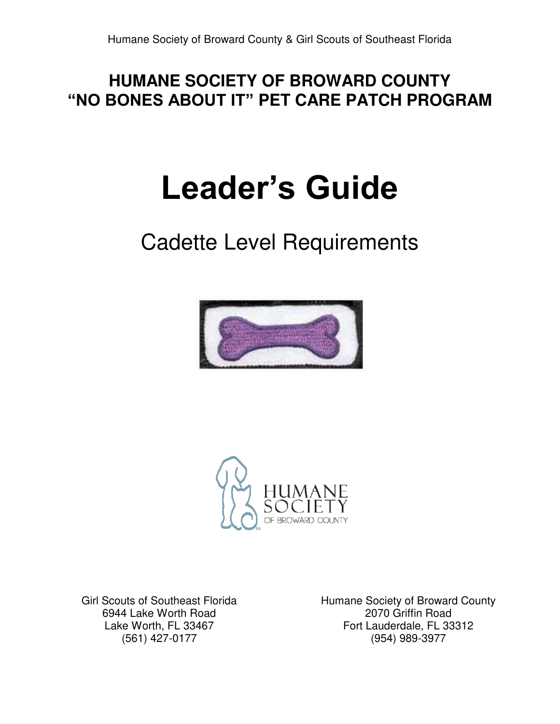#### **HUMANE SOCIETY OF BROWARD COUNTY "NO BONES ABOUT IT" PET CARE PATCH PROGRAM**

# **Leader's Guide**

# Cadette Level Requirements





Girl Scouts of Southeast Florida 6944 Lake Worth Road Lake Worth, FL 33467 (561) 427-0177

Humane Society of Broward County 2070 Griffin Road Fort Lauderdale, FL 33312 (954) 989-3977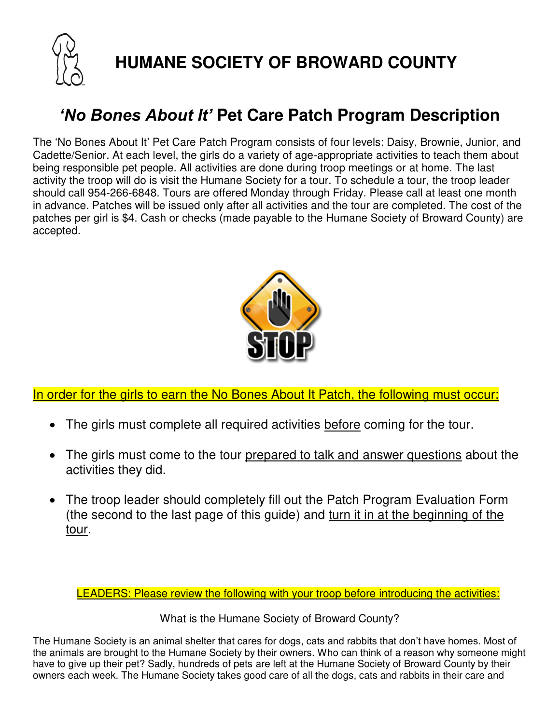

**HUMANE SOCIETY OF BROWARD COUNTY** 

## *'No Bones About It'* **Pet Care Patch Program Description**

The 'No Bones About It' Pet Care Patch Program consists of four levels: Daisy, Brownie, Junior, and Cadette/Senior. At each level, the girls do a variety of age-appropriate activities to teach them about being responsible pet people. All activities are done during troop meetings or at home. The last activity the troop will do is visit the Humane Society for a tour. To schedule a tour, the troop leader should call 954-266-6848. Tours are offered Monday through Friday. Please call at least one month in advance. Patches will be issued only after all activities and the tour are completed. The cost of the patches per girl is \$4. Cash or checks (made payable to the Humane Society of Broward County) are accepted.



In order for the girls to earn the No Bones About It Patch, the following must occur:

- The girls must complete all required activities before coming for the tour.
- The girls must come to the tour prepared to talk and answer questions about the activities they did.
- The troop leader should completely fill out the Patch Program Evaluation Form (the second to the last page of this guide) and turn it in at the beginning of the tour.

LEADERS: Please review the following with your troop before introducing the activities:

What is the Humane Society of Broward County?

The Humane Society is an animal shelter that cares for dogs, cats and rabbits that don't have homes. Most of the animals are brought to the Humane Society by their owners. Who can think of a reason why someone might have to give up their pet? Sadly, hundreds of pets are left at the Humane Society of Broward County by their owners each week. The Humane Society takes good care of all the dogs, cats and rabbits in their care and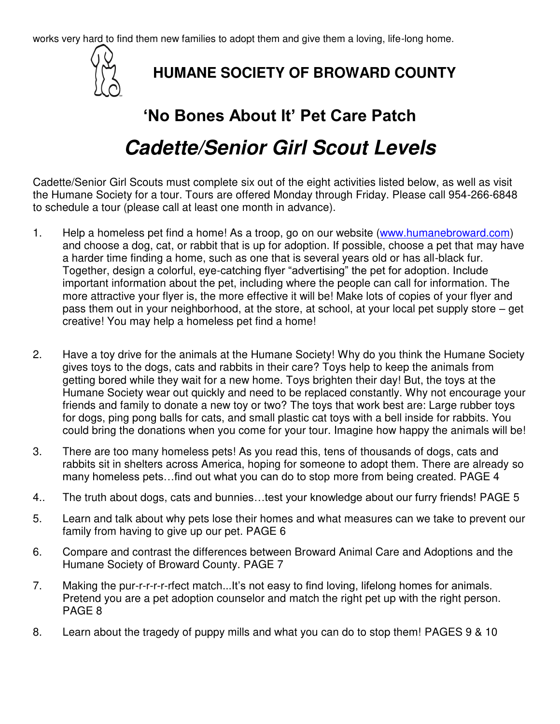works very hard to find them new families to adopt them and give them a loving, life-long home.



#### **HUMANE SOCIETY OF BROWARD COUNTY**

# **'No Bones About It' Pet Care Patch Cadette/Senior Girl Scout Levels**

Cadette/Senior Girl Scouts must complete six out of the eight activities listed below, as well as visit the Humane Society for a tour. Tours are offered Monday through Friday. Please call 954-266-6848 to schedule a tour (please call at least one month in advance).

- 1. Help a homeless pet find a home! As a troop, go on our website [\(www.humanebroward.com\)](http://www.humanebroward.com/) and choose a dog, cat, or rabbit that is up for adoption. If possible, choose a pet that may have a harder time finding a home, such as one that is several years old or has all-black fur. Together, design a colorful, eye-catching flyer "advertising" the pet for adoption. Include important information about the pet, including where the people can call for information. The more attractive your flyer is, the more effective it will be! Make lots of copies of your flyer and pass them out in your neighborhood, at the store, at school, at your local pet supply store – get creative! You may help a homeless pet find a home!
- 2. Have a toy drive for the animals at the Humane Society! Why do you think the Humane Society gives toys to the dogs, cats and rabbits in their care? Toys help to keep the animals from getting bored while they wait for a new home. Toys brighten their day! But, the toys at the Humane Society wear out quickly and need to be replaced constantly. Why not encourage your friends and family to donate a new toy or two? The toys that work best are: Large rubber toys for dogs, ping pong balls for cats, and small plastic cat toys with a bell inside for rabbits. You could bring the donations when you come for your tour. Imagine how happy the animals will be!
- 3. There are too many homeless pets! As you read this, tens of thousands of dogs, cats and rabbits sit in shelters across America, hoping for someone to adopt them. There are already so many homeless pets…find out what you can do to stop more from being created. PAGE 4
- 4.. The truth about dogs, cats and bunnies…test your knowledge about our furry friends! PAGE 5
- 5. Learn and talk about why pets lose their homes and what measures can we take to prevent our family from having to give up our pet. PAGE 6
- 6. Compare and contrast the differences between Broward Animal Care and Adoptions and the Humane Society of Broward County. PAGE 7
- 7. Making the pur-r-r-r-r-rfect match...It's not easy to find loving, lifelong homes for animals. Pretend you are a pet adoption counselor and match the right pet up with the right person. PAGE 8
- 8. Learn about the tragedy of puppy mills and what you can do to stop them! PAGES 9 & 10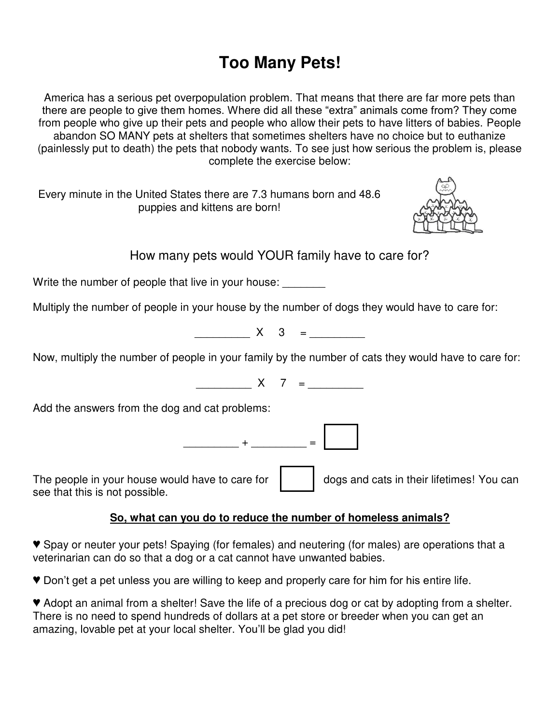# **Too Many Pets!**

America has a serious pet overpopulation problem. That means that there are far more pets than there are people to give them homes. Where did all these "extra" animals come from? They come from people who give up their pets and people who allow their pets to have litters of babies. People abandon SO MANY pets at shelters that sometimes shelters have no choice but to euthanize (painlessly put to death) the pets that nobody wants. To see just how serious the problem is, please complete the exercise below:

Every minute in the United States there are 7.3 humans born and 48.6 puppies and kittens are born!



How many pets would YOUR family have to care for?

Write the number of people that live in your house:

Multiply the number of people in your house by the number of dogs they would have to care for:

 $X \quad 3 =$ 

Now, multiply the number of people in your family by the number of cats they would have to care for:

 $X \quad 7 \quad =$ 

Add the answers from the dog and cat problems:

\_\_\_\_\_\_\_\_\_ + \_\_\_\_\_\_\_\_\_ =

The people in your house would have to care for  $\parallel$  dogs and cats in their lifetimes! You can see that this is not possible.

#### **So, what can you do to reduce the number of homeless animals?**

♥ Spay or neuter your pets! Spaying (for females) and neutering (for males) are operations that a veterinarian can do so that a dog or a cat cannot have unwanted babies.

♥ Don't get a pet unless you are willing to keep and properly care for him for his entire life.

♥ Adopt an animal from a shelter! Save the life of a precious dog or cat by adopting from a shelter. There is no need to spend hundreds of dollars at a pet store or breeder when you can get an amazing, lovable pet at your local shelter. You'll be glad you did!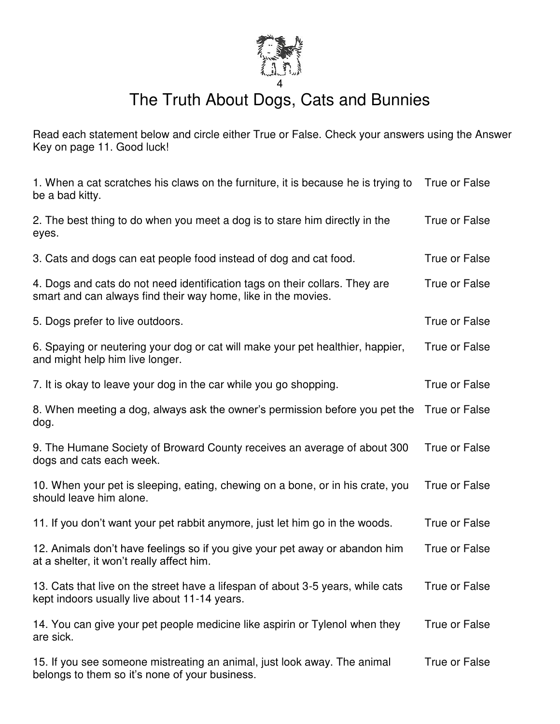

# The Truth About Dogs, Cats and Bunnies

Read each statement below and circle either True or False. Check your answers using the Answer Key on page 11. Good luck!

| 1. When a cat scratches his claws on the furniture, it is because he is trying to<br>be a bad kitty.                                         | True or False |
|----------------------------------------------------------------------------------------------------------------------------------------------|---------------|
| 2. The best thing to do when you meet a dog is to stare him directly in the<br>eyes.                                                         | True or False |
| 3. Cats and dogs can eat people food instead of dog and cat food.                                                                            | True or False |
| 4. Dogs and cats do not need identification tags on their collars. They are<br>smart and can always find their way home, like in the movies. | True or False |
| 5. Dogs prefer to live outdoors.                                                                                                             | True or False |
| 6. Spaying or neutering your dog or cat will make your pet healthier, happier,<br>and might help him live longer.                            | True or False |
| 7. It is okay to leave your dog in the car while you go shopping.                                                                            | True or False |
| 8. When meeting a dog, always ask the owner's permission before you pet the<br>dog.                                                          | True or False |
| 9. The Humane Society of Broward County receives an average of about 300<br>dogs and cats each week.                                         | True or False |
| 10. When your pet is sleeping, eating, chewing on a bone, or in his crate, you<br>should leave him alone.                                    | True or False |
| 11. If you don't want your pet rabbit anymore, just let him go in the woods.                                                                 | True or False |
| 12. Animals don't have feelings so if you give your pet away or abandon him<br>at a shelter, it won't really affect him.                     | True or False |
| 13. Cats that live on the street have a lifespan of about 3-5 years, while cats<br>kept indoors usually live about 11-14 years.              | True or False |
| 14. You can give your pet people medicine like aspirin or Tylenol when they<br>are sick.                                                     | True or False |
| 15. If you see someone mistreating an animal, just look away. The animal<br>belongs to them so it's none of your business.                   | True or False |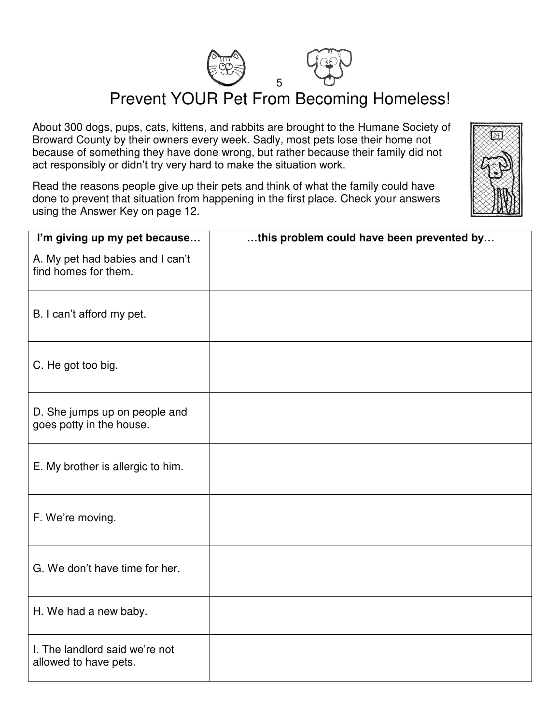

Prevent YOUR Pet From Becoming Homeless!

About 300 dogs, pups, cats, kittens, and rabbits are brought to the Humane Society of Broward County by their owners every week. Sadly, most pets lose their home not because of something they have done wrong, but rather because their family did not act responsibly or didn't try very hard to make the situation work.

Read the reasons people give up their pets and think of what the family could have done to prevent that situation from happening in the first place. Check your answers using the Answer Key on page 12.

| I'm giving up my pet because                              | this problem could have been prevented by |
|-----------------------------------------------------------|-------------------------------------------|
| A. My pet had babies and I can't<br>find homes for them.  |                                           |
| B. I can't afford my pet.                                 |                                           |
| C. He got too big.                                        |                                           |
| D. She jumps up on people and<br>goes potty in the house. |                                           |
| E. My brother is allergic to him.                         |                                           |
| F. We're moving.                                          |                                           |
| G. We don't have time for her.                            |                                           |
| H. We had a new baby.                                     |                                           |
| I. The landlord said we're not<br>allowed to have pets.   |                                           |

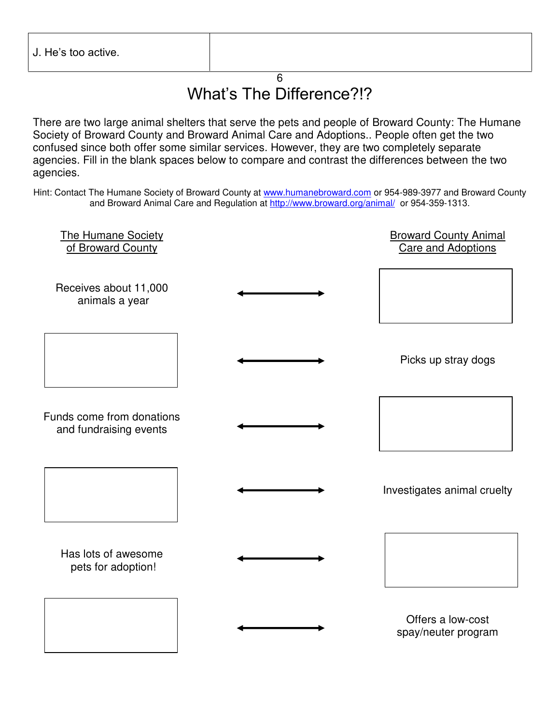#### $\overline{6}$ What's The Difference?!?

There are two large animal shelters that serve the pets and people of Broward County: The Humane Society of Broward County and Broward Animal Care and Adoptions.. People often get the two confused since both offer some similar services. However, they are two completely separate agencies. Fill in the blank spaces below to compare and contrast the differences between the two agencies.

Hint: Contact The Humane Society of Broward County at [www.humanebroward.com](http://www.humanebroward.com/) or 954-989-3977 and Broward County and Broward Animal Care and Regulation at<http://www.broward.org/animal/>or 954-359-1313.

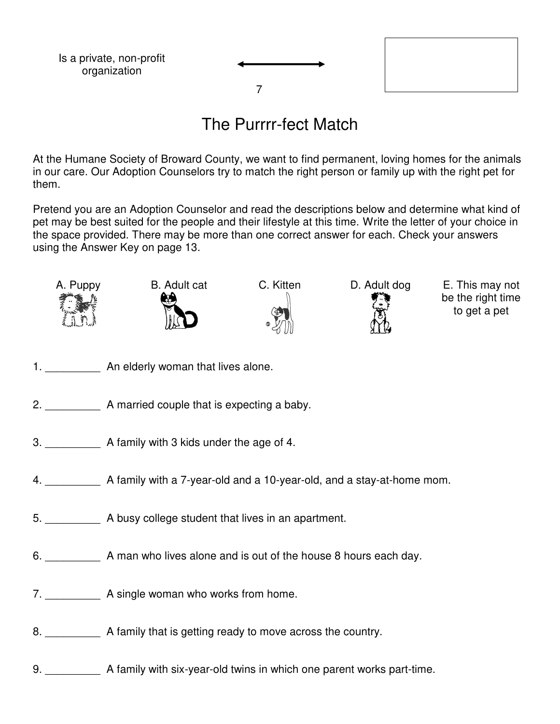

#### The Purrrr-fect Match

At the Humane Society of Broward County, we want to find permanent, loving homes for the animals in our care. Our Adoption Counselors try to match the right person or family up with the right pet for them.

Pretend you are an Adoption Counselor and read the descriptions below and determine what kind of pet may be best suited for the people and their lifestyle at this time. Write the letter of your choice in the space provided. There may be more than one correct answer for each. Check your answers using the Answer Key on page 13.



be the right time to get a pet

- 1. An elderly woman that lives alone.
- 2. **\_\_\_\_\_\_** A married couple that is expecting a baby.
- 3. A family with 3 kids under the age of 4.
- 4. \_\_\_\_\_\_\_\_\_ A family with a 7-year-old and a 10-year-old, and a stay-at-home mom.
- 5. \_\_\_\_\_\_\_\_\_ A busy college student that lives in an apartment.
- 6. A man who lives alone and is out of the house 8 hours each day.
- 7. \_\_\_\_\_\_\_\_\_\_\_\_\_ A single woman who works from home.
- 8. A family that is getting ready to move across the country.
- 9. A family with six-year-old twins in which one parent works part-time.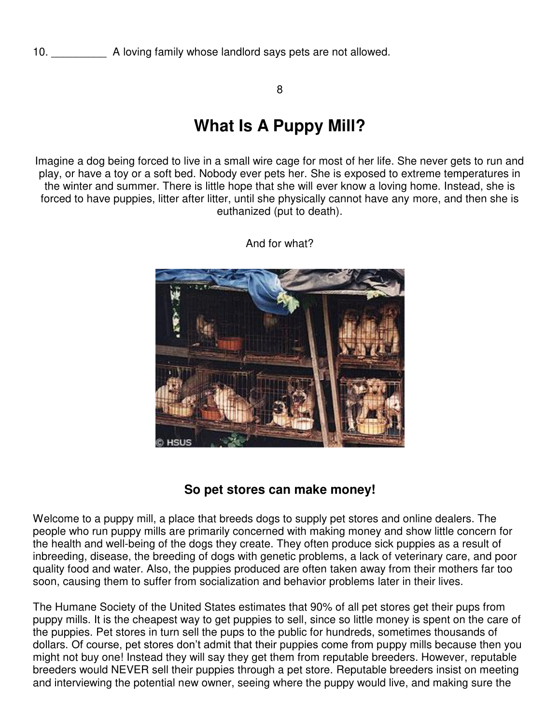8

### **What Is A Puppy Mill?**

Imagine a dog being forced to live in a small wire cage for most of her life. She never gets to run and play, or have a toy or a soft bed. Nobody ever pets her. She is exposed to extreme temperatures in the winter and summer. There is little hope that she will ever know a loving home. Instead, she is forced to have puppies, litter after litter, until she physically cannot have any more, and then she is euthanized (put to death).



And for what?

#### **So pet stores can make money!**

Welcome to a puppy mill, a place that breeds dogs to supply pet stores and online dealers. The people who run puppy mills are primarily concerned with making money and show little concern for the health and well-being of the dogs they create. They often produce sick puppies as a result of inbreeding, disease, the breeding of dogs with genetic problems, a lack of veterinary care, and poor quality food and water. Also, the puppies produced are often taken away from their mothers far too soon, causing them to suffer from socialization and behavior problems later in their lives.

The Humane Society of the United States estimates that 90% of all pet stores get their pups from puppy mills. It is the cheapest way to get puppies to sell, since so little money is spent on the care of the puppies. Pet stores in turn sell the pups to the public for hundreds, sometimes thousands of dollars. Of course, pet stores don't admit that their puppies come from puppy mills because then you might not buy one! Instead they will say they get them from reputable breeders. However, reputable breeders would NEVER sell their puppies through a pet store. Reputable breeders insist on meeting and interviewing the potential new owner, seeing where the puppy would live, and making sure the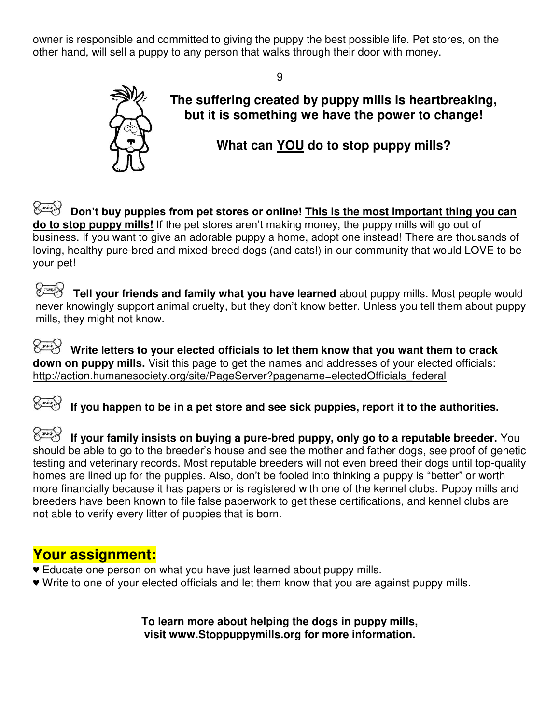owner is responsible and committed to giving the puppy the best possible life. Pet stores, on the other hand, will sell a puppy to any person that walks through their door with money.

9



**The suffering created by puppy mills is heartbreaking, but it is something we have the power to change!** 

**What can YOU do to stop puppy mills?**

 **Don't buy puppies from pet stores or online! This is the most important thing you can do to stop puppy mills!** If the pet stores aren't making money, the puppy mills will go out of business. If you want to give an adorable puppy a home, adopt one instead! There are thousands of loving, healthy pure-bred and mixed-breed dogs (and cats!) in our community that would LOVE to be your pet!

*C***ontal Tell your friends and family what you have learned** about puppy mills. Most people would never knowingly support animal cruelty, but they don't know better. Unless you tell them about puppy mills, they might not know.

 **Write letters to your elected officials to let them know that you want them to crack down on puppy mills.** Visit this page to get the names and addresses of your elected officials: http://action.humanesociety.org/site/PageServer?pagename=electedOfficials\_federal

*C***<sub>osse</sub> If you happen to be in a pet store and see sick puppies, report it to the authorities.** 

*Cassay* If your family insists on buying a pure-bred puppy, only go to a reputable breeder. You should be able to go to the breeder's house and see the mother and father dogs, see proof of genetic testing and veterinary records. Most reputable breeders will not even breed their dogs until top-quality homes are lined up for the puppies. Also, don't be fooled into thinking a puppy is "better" or worth more financially because it has papers or is registered with one of the kennel clubs. Puppy mills and breeders have been known to file false paperwork to get these certifications, and kennel clubs are not able to verify every litter of puppies that is born.

#### **Your assignment:**

- **♥** Educate one person on what you have just learned about puppy mills.
- **♥** Write to one of your elected officials and let them know that you are against puppy mills.

**To learn more about helping the dogs in puppy mills, visit [www.Stoppuppymills.org](http://www.stoppuppymills.org/) for more information.**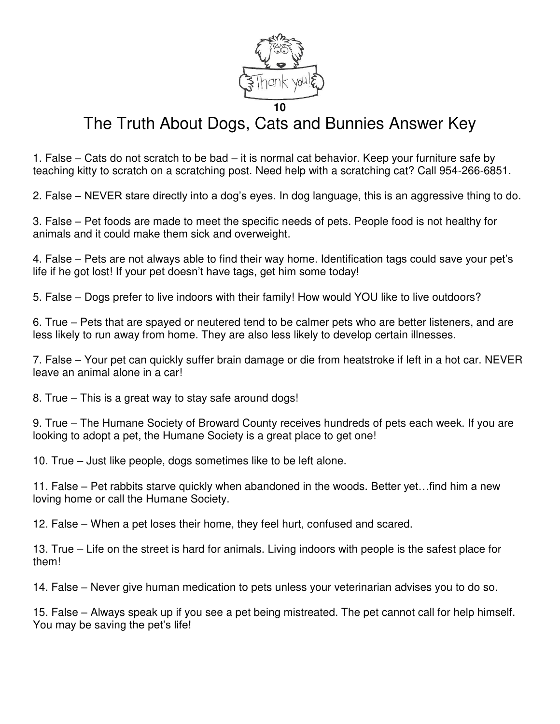

# The Truth About Dogs, Cats and Bunnies Answer Key

1. False – Cats do not scratch to be bad – it is normal cat behavior. Keep your furniture safe by teaching kitty to scratch on a scratching post. Need help with a scratching cat? Call 954-266-6851.

2. False – NEVER stare directly into a dog's eyes. In dog language, this is an aggressive thing to do.

3. False – Pet foods are made to meet the specific needs of pets. People food is not healthy for animals and it could make them sick and overweight.

4. False – Pets are not always able to find their way home. Identification tags could save your pet's life if he got lost! If your pet doesn't have tags, get him some today!

5. False – Dogs prefer to live indoors with their family! How would YOU like to live outdoors?

6. True – Pets that are spayed or neutered tend to be calmer pets who are better listeners, and are less likely to run away from home. They are also less likely to develop certain illnesses.

7. False – Your pet can quickly suffer brain damage or die from heatstroke if left in a hot car. NEVER leave an animal alone in a car!

8. True – This is a great way to stay safe around dogs!

9. True – The Humane Society of Broward County receives hundreds of pets each week. If you are looking to adopt a pet, the Humane Society is a great place to get one!

10. True – Just like people, dogs sometimes like to be left alone.

11. False – Pet rabbits starve quickly when abandoned in the woods. Better yet…find him a new loving home or call the Humane Society.

12. False – When a pet loses their home, they feel hurt, confused and scared.

13. True – Life on the street is hard for animals. Living indoors with people is the safest place for them!

14. False – Never give human medication to pets unless your veterinarian advises you to do so.

15. False – Always speak up if you see a pet being mistreated. The pet cannot call for help himself. You may be saving the pet's life!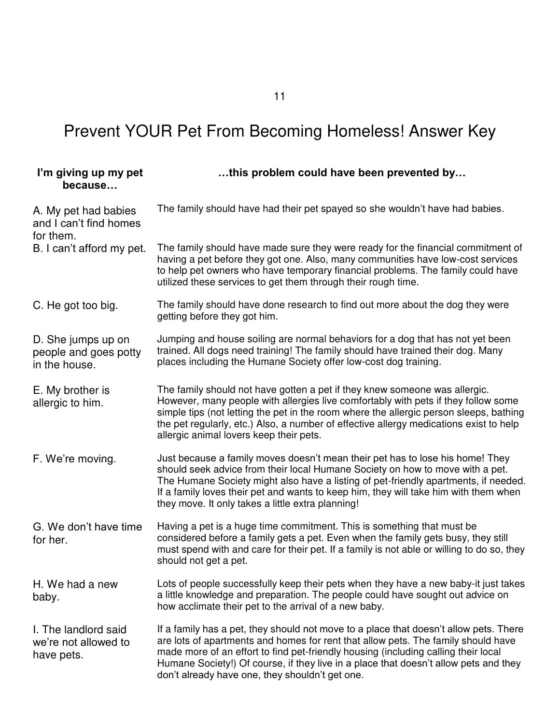| I'm giving up my pet<br>because                              | this problem could have been prevented by                                                                                                                                                                                                                                                                                                                                                                   |
|--------------------------------------------------------------|-------------------------------------------------------------------------------------------------------------------------------------------------------------------------------------------------------------------------------------------------------------------------------------------------------------------------------------------------------------------------------------------------------------|
| A. My pet had babies<br>and I can't find homes<br>for them.  | The family should have had their pet spayed so she wouldn't have had babies.                                                                                                                                                                                                                                                                                                                                |
| B. I can't afford my pet.                                    | The family should have made sure they were ready for the financial commitment of<br>having a pet before they got one. Also, many communities have low-cost services<br>to help pet owners who have temporary financial problems. The family could have<br>utilized these services to get them through their rough time.                                                                                     |
| C. He got too big.                                           | The family should have done research to find out more about the dog they were<br>getting before they got him.                                                                                                                                                                                                                                                                                               |
| D. She jumps up on<br>people and goes potty<br>in the house. | Jumping and house soiling are normal behaviors for a dog that has not yet been<br>trained. All dogs need training! The family should have trained their dog. Many<br>places including the Humane Society offer low-cost dog training.                                                                                                                                                                       |
| E. My brother is<br>allergic to him.                         | The family should not have gotten a pet if they knew someone was allergic.<br>However, many people with allergies live comfortably with pets if they follow some<br>simple tips (not letting the pet in the room where the allergic person sleeps, bathing<br>the pet regularly, etc.) Also, a number of effective allergy medications exist to help<br>allergic animal lovers keep their pets.             |
| F. We're moving.                                             | Just because a family moves doesn't mean their pet has to lose his home! They<br>should seek advice from their local Humane Society on how to move with a pet.<br>The Humane Society might also have a listing of pet-friendly apartments, if needed.<br>If a family loves their pet and wants to keep him, they will take him with them when<br>they move. It only takes a little extra planning!          |
| G. We don't have time<br>for her.                            | Having a pet is a huge time commitment. This is something that must be<br>considered before a family gets a pet. Even when the family gets busy, they still<br>must spend with and care for their pet. If a family is not able or willing to do so, they<br>should not get a pet.                                                                                                                           |
| H. We had a new<br>baby.                                     | Lots of people successfully keep their pets when they have a new baby-it just takes<br>a little knowledge and preparation. The people could have sought out advice on<br>how acclimate their pet to the arrival of a new baby.                                                                                                                                                                              |
| I. The landlord said<br>we're not allowed to<br>have pets.   | If a family has a pet, they should not move to a place that doesn't allow pets. There<br>are lots of apartments and homes for rent that allow pets. The family should have<br>made more of an effort to find pet-friendly housing (including calling their local<br>Humane Society!) Of course, if they live in a place that doesn't allow pets and they<br>don't already have one, they shouldn't get one. |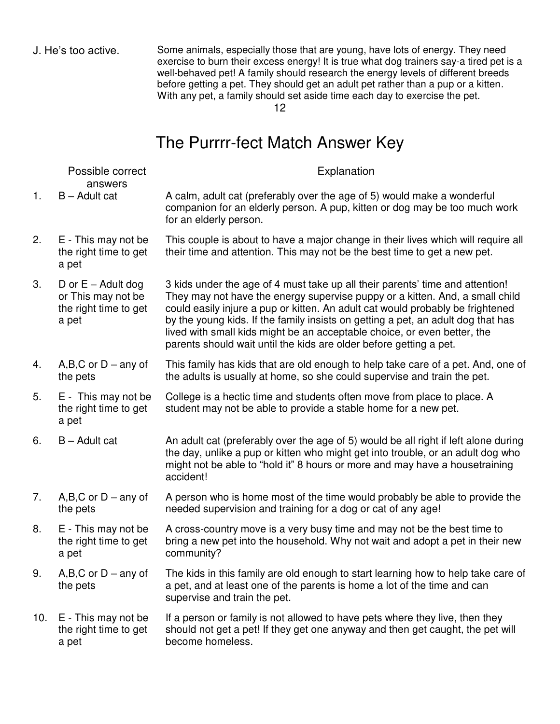J. He's too active. Some animals, especially those that are young, have lots of energy. They need exercise to burn their excess energy! It is true what dog trainers say-a tired pet is a well-behaved pet! A family should research the energy levels of different breeds before getting a pet. They should get an adult pet rather than a pup or a kitten. With any pet, a family should set aside time each day to exercise the pet.

12

#### The Purrrr-fect Match Answer Key

|     | Possible correct<br>answers                                                  | Explanation                                                                                                                                                                                                                                                                                                                                                                                                                                                                           |
|-----|------------------------------------------------------------------------------|---------------------------------------------------------------------------------------------------------------------------------------------------------------------------------------------------------------------------------------------------------------------------------------------------------------------------------------------------------------------------------------------------------------------------------------------------------------------------------------|
| 1.  | $B -$ Adult cat                                                              | A calm, adult cat (preferably over the age of 5) would make a wonderful<br>companion for an elderly person. A pup, kitten or dog may be too much work<br>for an elderly person.                                                                                                                                                                                                                                                                                                       |
| 2.  | E - This may not be<br>the right time to get<br>a pet                        | This couple is about to have a major change in their lives which will require all<br>their time and attention. This may not be the best time to get a new pet.                                                                                                                                                                                                                                                                                                                        |
| 3.  | D or $E -$ Adult dog<br>or This may not be<br>the right time to get<br>a pet | 3 kids under the age of 4 must take up all their parents' time and attention!<br>They may not have the energy supervise puppy or a kitten. And, a small child<br>could easily injure a pup or kitten. An adult cat would probably be frightened<br>by the young kids. If the family insists on getting a pet, an adult dog that has<br>lived with small kids might be an acceptable choice, or even better, the<br>parents should wait until the kids are older before getting a pet. |
| 4.  | $A,B,C$ or $D$ – any of<br>the pets                                          | This family has kids that are old enough to help take care of a pet. And, one of<br>the adults is usually at home, so she could supervise and train the pet.                                                                                                                                                                                                                                                                                                                          |
| 5.  | E - This may not be<br>the right time to get<br>a pet                        | College is a hectic time and students often move from place to place. A<br>student may not be able to provide a stable home for a new pet.                                                                                                                                                                                                                                                                                                                                            |
| 6.  | $B -$ Adult cat                                                              | An adult cat (preferably over the age of 5) would be all right if left alone during<br>the day, unlike a pup or kitten who might get into trouble, or an adult dog who<br>might not be able to "hold it" 8 hours or more and may have a housetraining<br>accident!                                                                                                                                                                                                                    |
| 7.  | $A,B,C$ or $D$ – any of<br>the pets                                          | A person who is home most of the time would probably be able to provide the<br>needed supervision and training for a dog or cat of any age!                                                                                                                                                                                                                                                                                                                                           |
| 8.  | E - This may not be<br>the right time to get<br>a pet                        | A cross-country move is a very busy time and may not be the best time to<br>bring a new pet into the household. Why not wait and adopt a pet in their new<br>community?                                                                                                                                                                                                                                                                                                               |
| 9.  | $A,B,C$ or $D$ – any of<br>the pets                                          | The kids in this family are old enough to start learning how to help take care of<br>a pet, and at least one of the parents is home a lot of the time and can<br>supervise and train the pet.                                                                                                                                                                                                                                                                                         |
| 10. | E - This may not be<br>the right time to get<br>a pet                        | If a person or family is not allowed to have pets where they live, then they<br>should not get a pet! If they get one anyway and then get caught, the pet will<br>become homeless.                                                                                                                                                                                                                                                                                                    |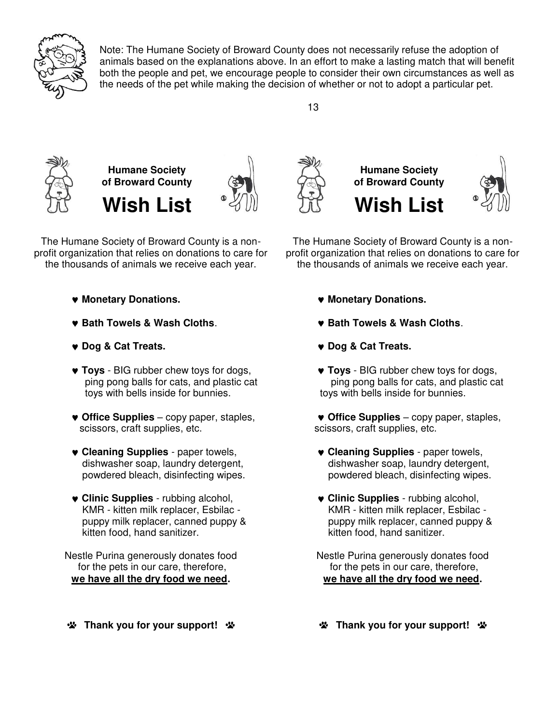

Note: The Humane Society of Broward County does not necessarily refuse the adoption of animals based on the explanations above. In an effort to make a lasting match that will benefit both the people and pet, we encourage people to consider their own circumstances as well as the needs of the pet while making the decision of whether or not to adopt a particular pet.







The Humane Society of Broward County is a nonprofit organization that relies on donations to care for the thousands of animals we receive each year.

- **Monetary Donations.**
- **Bath Towels & Wash Cloths**.
- **Dog & Cat Treats.**
- **Toys**  BIG rubber chew toys for dogs, ping pong balls for cats, and plastic cat toys with bells inside for bunnies.
- **Office Supplies** copy paper, staples, scissors, craft supplies, etc.
- **Cleaning Supplies** paper towels, dishwasher soap, laundry detergent, powdered bleach, disinfecting wipes.
- **Clinic Supplies** rubbing alcohol, KMR - kitten milk replacer, Esbilac puppy milk replacer, canned puppy & kitten food, hand sanitizer.

Nestle Purina generously donates food for the pets in our care, therefore, **we have all the dry food we need.** 

**\*** Thank you for your support! \*



The Humane Society of Broward County is a nonprofit organization that relies on donations to care for the thousands of animals we receive each year.

- **Monetary Donations.**
- **Bath Towels & Wash Cloths**.
- **Dog & Cat Treats.**
- **Toys**  BIG rubber chew toys for dogs, ping pong balls for cats, and plastic cat toys with bells inside for bunnies.
- **Office Supplies** copy paper, staples, scissors, craft supplies, etc.
- **Cleaning Supplies** paper towels, dishwasher soap, laundry detergent, powdered bleach, disinfecting wipes.
- **Clinic Supplies** rubbing alcohol, KMR - kitten milk replacer, Esbilac puppy milk replacer, canned puppy & kitten food, hand sanitizer.

Nestle Purina generously donates food for the pets in our care, therefore, **we have all the dry food we need.** 

**Thank you for your support! \***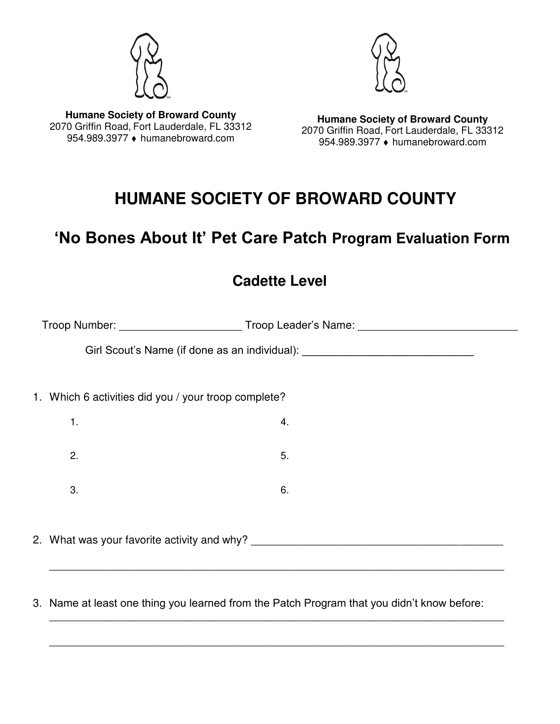



**Humane Society of Broward County**  2070 Griffin Road, Fort Lauderdale, FL 33312 954.989.3977 ♦ humanebroward.com

**Humane Society of Broward County**  2070 Griffin Road, Fort Lauderdale, FL 33312 954.989.3977 · humanebroward.com

# **HUMANE SOCIETY OF BROWARD COUNTY**

# **'No Bones About It' Pet Care Patch Program Evaluation Form**

#### **Cadette Level**

|                                                      | Troop Number: _______________________________Troop Leader's Name: __________________________________ |  |
|------------------------------------------------------|------------------------------------------------------------------------------------------------------|--|
|                                                      | Girl Scout's Name (if done as an individual): __________________________________                     |  |
| 1. Which 6 activities did you / your troop complete? |                                                                                                      |  |
| 1.                                                   | 4.                                                                                                   |  |
| 2.                                                   | 5.                                                                                                   |  |
| 3.                                                   | 6.                                                                                                   |  |
|                                                      | 2. What was your favorite activity and why?                                                          |  |
|                                                      |                                                                                                      |  |

3. Name at least one thing you learned from the Patch Program that you didn't know before:

\_\_\_\_\_\_\_\_\_\_\_\_\_\_\_\_\_\_\_\_\_\_\_\_\_\_\_\_\_\_\_\_\_\_\_\_\_\_\_\_\_\_\_\_\_\_\_\_\_\_\_\_\_\_\_\_\_\_\_\_\_\_\_\_\_\_\_\_\_\_\_\_\_\_

\_\_\_\_\_\_\_\_\_\_\_\_\_\_\_\_\_\_\_\_\_\_\_\_\_\_\_\_\_\_\_\_\_\_\_\_\_\_\_\_\_\_\_\_\_\_\_\_\_\_\_\_\_\_\_\_\_\_\_\_\_\_\_\_\_\_\_\_\_\_\_\_\_\_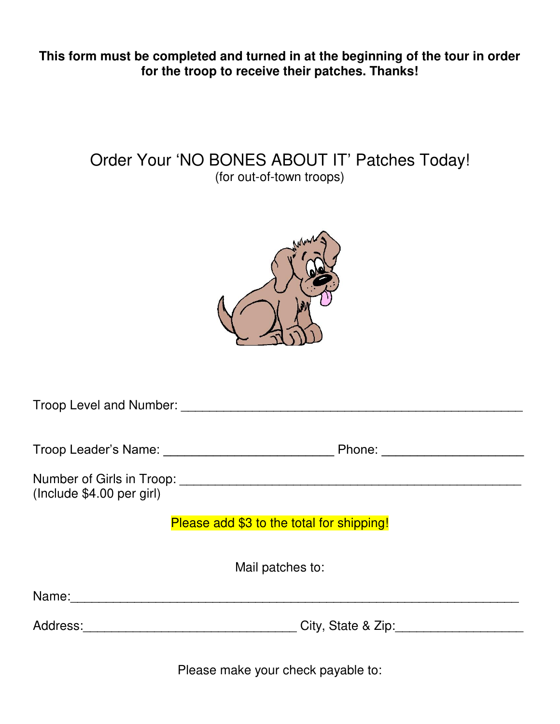**This form must be completed and turned in at the beginning of the tour in order for the troop to receive their patches. Thanks!** 

#### Order Your 'NO BONES ABOUT IT' Patches Today! (for out-of-town troops)



| Troop Level and Number: Troop Level and Number: |                          |  |  |
|-------------------------------------------------|--------------------------|--|--|
|                                                 | Phone: _________________ |  |  |
| (Include \$4.00 per girl)                       |                          |  |  |
| Please add \$3 to the total for shipping!       |                          |  |  |
| Mail patches to:                                |                          |  |  |
| Name:                                           |                          |  |  |
| Address:                                        | City, State & Zip:       |  |  |

Please make your check payable to: